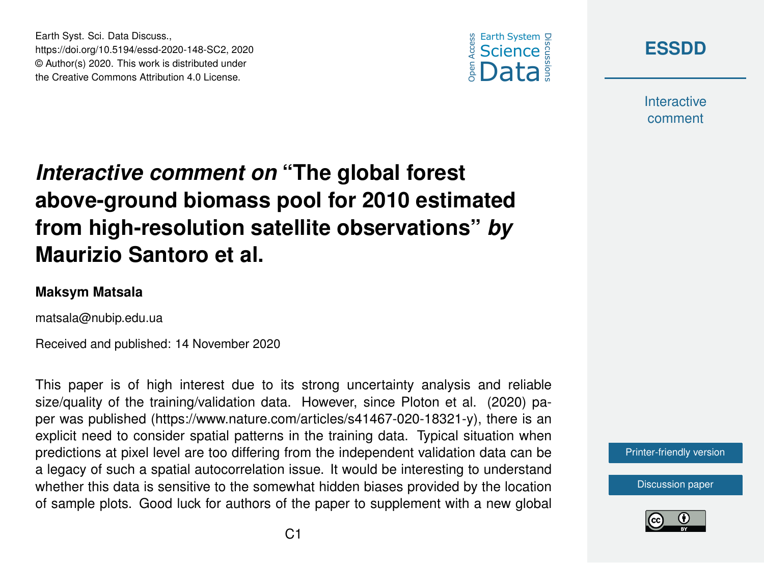



**Interactive** comment

## *Interactive comment on* **"The global forest above-ground biomass pool for 2010 estimated from high-resolution satellite observations"** *by* **Maurizio Santoro et al.**

## **Maksym Matsala**

matsala@nubip.edu.ua

Earth Syst. Sci. Data Discuss.,

https://doi.org/10.5194/essd-2020-148-SC2, 2020 © Author(s) 2020. This work is distributed under the Creative Commons Attribution 4.0 License.

Received and published: 14 November 2020

This paper is of high interest due to its strong uncertainty analysis and reliable size/quality of the training/validation data. However, since Ploton et al. (2020) paper was published (https://www.nature.com/articles/s41467-020-18321-y), there is an explicit need to consider spatial patterns in the training data. Typical situation when predictions at pixel level are too differing from the independent validation data can be a legacy of such a spatial autocorrelation issue. It would be interesting to understand whether this data is sensitive to the somewhat hidden biases provided by the location of sample plots. Good luck for authors of the paper to supplement with a new global



[Discussion paper](https://essd.copernicus.org/preprints/essd-2020-148)